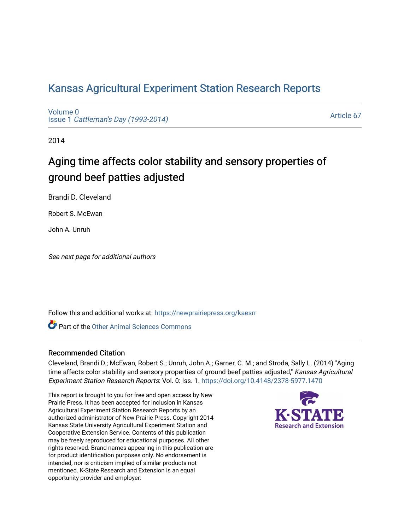## [Kansas Agricultural Experiment Station Research Reports](https://newprairiepress.org/kaesrr)

[Volume 0](https://newprairiepress.org/kaesrr/vol0) Issue 1 [Cattleman's Day \(1993-2014\)](https://newprairiepress.org/kaesrr/vol0/iss1) 

[Article 67](https://newprairiepress.org/kaesrr/vol0/iss1/67) 

2014

## Aging time affects color stability and sensory properties of ground beef patties adjusted

Brandi D. Cleveland

Robert S. McEwan

John A. Unruh

See next page for additional authors

Follow this and additional works at: [https://newprairiepress.org/kaesrr](https://newprairiepress.org/kaesrr?utm_source=newprairiepress.org%2Fkaesrr%2Fvol0%2Fiss1%2F67&utm_medium=PDF&utm_campaign=PDFCoverPages) 

**C** Part of the [Other Animal Sciences Commons](http://network.bepress.com/hgg/discipline/82?utm_source=newprairiepress.org%2Fkaesrr%2Fvol0%2Fiss1%2F67&utm_medium=PDF&utm_campaign=PDFCoverPages)

### Recommended Citation

Cleveland, Brandi D.; McEwan, Robert S.; Unruh, John A.; Garner, C. M.; and Stroda, Sally L. (2014) "Aging time affects color stability and sensory properties of ground beef patties adjusted," Kansas Agricultural Experiment Station Research Reports: Vol. 0: Iss. 1. <https://doi.org/10.4148/2378-5977.1470>

This report is brought to you for free and open access by New Prairie Press. It has been accepted for inclusion in Kansas Agricultural Experiment Station Research Reports by an authorized administrator of New Prairie Press. Copyright 2014 Kansas State University Agricultural Experiment Station and Cooperative Extension Service. Contents of this publication may be freely reproduced for educational purposes. All other rights reserved. Brand names appearing in this publication are for product identification purposes only. No endorsement is intended, nor is criticism implied of similar products not mentioned. K-State Research and Extension is an equal opportunity provider and employer.

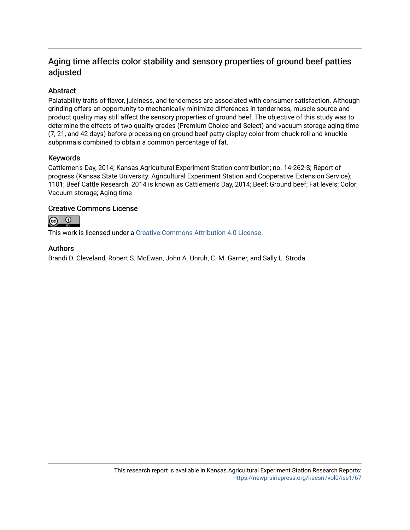## Aging time affects color stability and sensory properties of ground beef patties adjusted

### **Abstract**

Palatability traits of flavor, juiciness, and tenderness are associated with consumer satisfaction. Although grinding offers an opportunity to mechanically minimize differences in tenderness, muscle source and product quality may still affect the sensory properties of ground beef. The objective of this study was to determine the effects of two quality grades (Premium Choice and Select) and vacuum storage aging time (7, 21, and 42 days) before processing on ground beef patty display color from chuck roll and knuckle subprimals combined to obtain a common percentage of fat.

### Keywords

Cattlemen's Day, 2014; Kansas Agricultural Experiment Station contribution; no. 14-262-S; Report of progress (Kansas State University. Agricultural Experiment Station and Cooperative Extension Service); 1101; Beef Cattle Research, 2014 is known as Cattlemen's Day, 2014; Beef; Ground beef; Fat levels; Color; Vacuum storage; Aging time

### Creative Commons License



This work is licensed under a [Creative Commons Attribution 4.0 License](https://creativecommons.org/licenses/by/4.0/).

### Authors

Brandi D. Cleveland, Robert S. McEwan, John A. Unruh, C. M. Garner, and Sally L. Stroda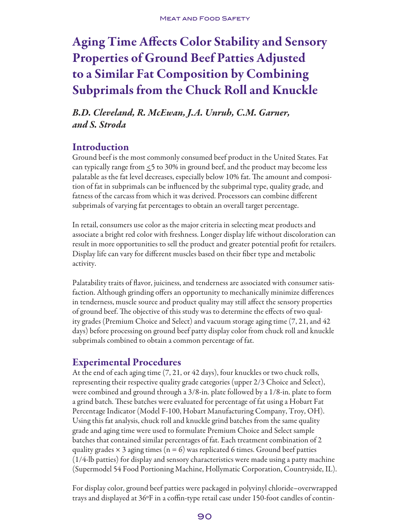# Aging Time Affects Color Stability and Sensory Properties of Ground Beef Patties Adjusted to a Similar Fat Composition by Combining Subprimals from the Chuck Roll and Knuckle

*B.D. Cleveland, R. McEwan, J.A. Unruh, C.M. Garner, and S. Stroda*

## Introduction

Ground beef is the most commonly consumed beef product in the United States. Fat can typically range from  $\leq$  5 to 30% in ground beef, and the product may become less palatable as the fat level decreases, especially below 10% fat. The amount and composition of fat in subprimals can be influenced by the subprimal type, quality grade, and fatness of the carcass from which it was derived. Processors can combine different subprimals of varying fat percentages to obtain an overall target percentage.

In retail, consumers use color as the major criteria in selecting meat products and associate a bright red color with freshness. Longer display life without discoloration can result in more opportunities to sell the product and greater potential profit for retailers. Display life can vary for different muscles based on their fiber type and metabolic activity.

Palatability traits of flavor, juiciness, and tenderness are associated with consumer satisfaction. Although grinding offers an opportunity to mechanically minimize differences in tenderness, muscle source and product quality may still affect the sensory properties of ground beef. The objective of this study was to determine the effects of two quality grades (Premium Choice and Select) and vacuum storage aging time (7, 21, and 42 days) before processing on ground beef patty display color from chuck roll and knuckle subprimals combined to obtain a common percentage of fat.

## Experimental Procedures

At the end of each aging time (7, 21, or 42 days), four knuckles or two chuck rolls, representing their respective quality grade categories (upper 2/3 Choice and Select), were combined and ground through a 3/8-in. plate followed by a 1/8-in. plate to form a grind batch. These batches were evaluated for percentage of fat using a Hobart Fat Percentage Indicator (Model F-100, Hobart Manufacturing Company, Troy, OH). Using this fat analysis, chuck roll and knuckle grind batches from the same quality grade and aging time were used to formulate Premium Choice and Select sample batches that contained similar percentages of fat. Each treatment combination of 2 quality grades  $\times$  3 aging times (n = 6) was replicated 6 times. Ground beef patties (1/4-lb patties) for display and sensory characteristics were made using a patty machine (Supermodel 54 Food Portioning Machine, Hollymatic Corporation, Countryside, IL).

For display color, ground beef patties were packaged in polyvinyl chloride–overwrapped trays and displayed at 36ºF in a coffin-type retail case under 150-foot candles of contin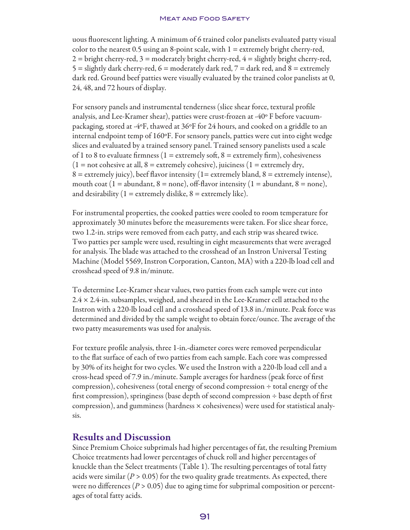uous fluorescent lighting. A minimum of 6 trained color panelists evaluated patty visual color to the nearest 0.5 using an 8-point scale, with  $1 =$  extremely bright cherry-red,  $2 =$  bright cherry-red,  $3 =$  moderately bright cherry-red,  $4 =$  slightly bright cherry-red, 5 = slightly dark cherry-red,  $6$  = moderately dark red,  $7$  = dark red, and  $8$  = extremely dark red. Ground beef patties were visually evaluated by the trained color panelists at 0, 24, 48, and 72 hours of display.

For sensory panels and instrumental tenderness (slice shear force, textural profile analysis, and Lee-Kramer shear), patties were crust-frozen at -40º F before vacuumpackaging, stored at -4ºF, thawed at 36ºF for 24 hours, and cooked on a griddle to an internal endpoint temp of 160ºF. For sensory panels, patties were cut into eight wedge slices and evaluated by a trained sensory panel. Trained sensory panelists used a scale of 1 to 8 to evaluate firmness (1 = extremely soft, 8 = extremely firm), cohesiveness  $(1 = not cohesive at all, 8 = extremely cohesive), juiciness (1 = extremely dry,$  $8 =$  extremely juicy), beef flavor intensity (1= extremely bland,  $8 =$  extremely intense), mouth coat (1 = abundant, 8 = none), off-flavor intensity (1 = abundant, 8 = none), and desirability  $(1 =$  extremely dislike,  $8 =$  extremely like).

For instrumental properties, the cooked patties were cooled to room temperature for approximately 30 minutes before the measurements were taken. For slice shear force, two 1.2-in. strips were removed from each patty, and each strip was sheared twice. Two patties per sample were used, resulting in eight measurements that were averaged for analysis. The blade was attached to the crosshead of an Instron Universal Testing Machine (Model 5569, Instron Corporation, Canton, MA) with a 220-lb load cell and crosshead speed of 9.8 in/minute.

To determine Lee-Kramer shear values, two patties from each sample were cut into 2.4 × 2.4-in. subsamples, weighed, and sheared in the Lee-Kramer cell attached to the Instron with a 220-lb load cell and a crosshead speed of 13.8 in./minute. Peak force was determined and divided by the sample weight to obtain force/ounce. The average of the two patty measurements was used for analysis.

For texture profile analysis, three 1-in.-diameter cores were removed perpendicular to the flat surface of each of two patties from each sample. Each core was compressed by 30% of its height for two cycles. We used the Instron with a 220-lb load cell and a cross-head speed of 7.9 in./minute. Sample averages for hardness (peak force of first compression), cohesiveness (total energy of second compression ÷ total energy of the first compression), springiness (base depth of second compression ÷ base depth of first compression), and gumminess (hardness  $\times$  cohesiveness) were used for statistical analysis.

## Results and Discussion

Since Premium Choice subprimals had higher percentages of fat, the resulting Premium Choice treatments had lower percentages of chuck roll and higher percentages of knuckle than the Select treatments (Table 1). The resulting percentages of total fatty acids were similar ( $P > 0.05$ ) for the two quality grade treatments. As expected, there were no differences ( $P > 0.05$ ) due to aging time for subprimal composition or percentages of total fatty acids.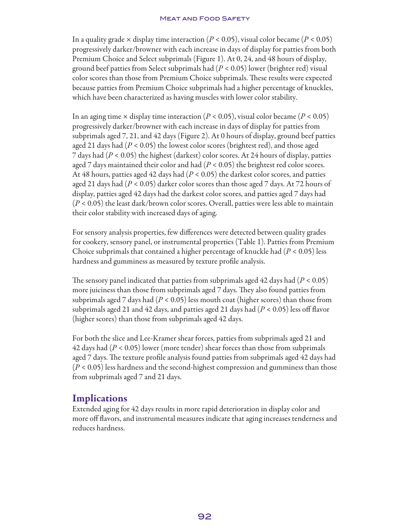### **MEAT AND FOOD SAFETY**

In a quality grade  $\times$  display time interaction ( $P < 0.05$ ), visual color became ( $P < 0.05$ ) progressively darker/browner with each increase in days of display for patties from both Premium Choice and Select subprimals (Figure 1). At 0, 24, and 48 hours of display, ground beef patties from Select subprimals had (*P* < 0.05) lower (brighter red) visual color scores than those from Premium Choice subprimals. These results were expected because patties from Premium Choice subprimals had a higher percentage of knuckles, which have been characterized as having muscles with lower color stability.

In an aging time  $\times$  display time interaction ( $P < 0.05$ ), visual color became ( $P < 0.05$ ) progressively darker/browner with each increase in days of display for patties from subprimals aged 7, 21, and 42 days (Figure 2). At 0 hours of display, ground beef patties aged 21 days had (*P* < 0.05) the lowest color scores (brightest red), and those aged 7 days had (*P* < 0.05) the highest (darkest) color scores. At 24 hours of display, patties aged 7 days maintained their color and had (*P* < 0.05) the brightest red color scores. At 48 hours, patties aged 42 days had (*P* < 0.05) the darkest color scores, and patties aged 21 days had (*P* < 0.05) darker color scores than those aged 7 days. At 72 hours of display, patties aged 42 days had the darkest color scores, and patties aged 7 days had (*P* < 0.05) the least dark/brown color scores. Overall, patties were less able to maintain their color stability with increased days of aging.

For sensory analysis properties, few differences were detected between quality grades for cookery, sensory panel, or instrumental properties (Table 1). Patties from Premium Choice subprimals that contained a higher percentage of knuckle had (*P* < 0.05) less hardness and gumminess as measured by texture profile analysis.

The sensory panel indicated that patties from subprimals aged 42 days had (*P* < 0.05) more juiciness than those from subprimals aged 7 days. They also found patties from subprimals aged 7 days had (*P* < 0.05) less mouth coat (higher scores) than those from subprimals aged 21 and 42 days, and patties aged 21 days had (*P* < 0.05) less off flavor (higher scores) than those from subprimals aged 42 days.

For both the slice and Lee-Kramer shear forces, patties from subprimals aged 21 and 42 days had (*P* < 0.05) lower (more tender) shear forces than those from subprimals aged 7 days. The texture profile analysis found patties from subprimals aged 42 days had (*P* < 0.05) less hardness and the second-highest compression and gumminess than those from subprimals aged 7 and 21 days.

## **Implications**

Extended aging for 42 days results in more rapid deterioration in display color and more off flavors, and instrumental measures indicate that aging increases tenderness and reduces hardness.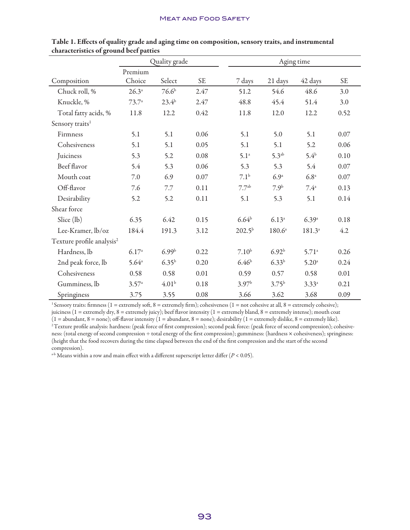|                                       | Quality grade     |                   |           | Aging time        |                   |                   |           |
|---------------------------------------|-------------------|-------------------|-----------|-------------------|-------------------|-------------------|-----------|
| Composition                           | Premium<br>Choice | Select            | <b>SE</b> | 7 days            | 21 days           | 42 days           | <b>SE</b> |
| Chuck roll, %                         | $26.3^{a}$        | 76.6 <sup>b</sup> | 2.47      | 51.2              | 54.6              | 48.6              | 3.0       |
| Knuckle, %                            | $73.7^{\circ}$    | $23.4^{b}$        | 2.47      | 48.8              | 45.4              | 51.4              | 3.0       |
| Total fatty acids, %                  | 11.8              | 12.2              | 0.42      | 11.8              | 12.0              | 12.2              | 0.52      |
| Sensory traits <sup>1</sup>           |                   |                   |           |                   |                   |                   |           |
| Firmness                              | 5.1               | 5.1               | 0.06      | 5.1               | 5.0               | 5.1               | 0.07      |
| Cohesiveness                          | 5.1               | 5.1               | 0.05      | 5.1               | 5.1               | 5.2               | 0.06      |
| Juiciness                             | 5.3               | 5.2               | 0.08      | 5.1 <sup>a</sup>  | 5.3 <sup>ab</sup> | $5.4^{\rm b}$     | 0.10      |
| Beef flavor                           | 5.4               | 5.3               | 0.06      | 5.3               | 5.3               | 5.4               | 0.07      |
| Mouth coat                            | 7.0               | 6.9               | 0.07      | 7.1 <sup>b</sup>  | 6.9 <sup>a</sup>  | 6.8 <sup>a</sup>  | 0.07      |
| Off-flavor                            | 7.6               | 7.7               | 0.11      | 7.7 <sup>ab</sup> | 7.9 <sup>b</sup>  | $7.4^{\circ}$     | 0.13      |
| Desirability                          | 5.2               | 5.2               | 0.11      | 5.1               | 5.3               | 5.1               | 0.14      |
| Shear force                           |                   |                   |           |                   |                   |                   |           |
| Slice (lb)                            | 6.35              | 6.42              | 0.15      | $6.64^{b}$        | 6.13a             | 6.39a             | 0.18      |
| Lee-Kramer, lb/oz                     | 184.4             | 191.3             | 3.12      | $202.5^{\rm b}$   | $180.6^{\circ}$   | $181.3^{a}$       | 4.2       |
| Texture profile analysis <sup>2</sup> |                   |                   |           |                   |                   |                   |           |
| Hardness, lb                          | 6.17a             | 6.99 <sup>b</sup> | 0.22      | $7.10^{b}$        | 6.92 <sup>b</sup> | 5.71 <sup>a</sup> | 0.26      |
| 2nd peak force, lb                    | $5.64^{\circ}$    | $6.35^{b}$        | 0.20      | 6.46 <sup>b</sup> | $6.33^{b}$        | 5.20 <sup>a</sup> | 0.24      |
| Cohesiveness                          | 0.58              | 0.58              | 0.01      | 0.59              | 0.57              | 0.58              | 0.01      |
| Gumminess, lb                         | $3.57^{\circ}$    | 4.01 <sup>b</sup> | 0.18      | 3.97 <sup>b</sup> | $3.75^{b}$        | $3.33^{a}$        | 0.21      |
| Springiness                           | 3.75              | 3.55              | 0.08      | 3.66              | 3.62              | 3.68              | 0.09      |

Table 1. Effects of quality grade and aging time on composition, sensory traits, and instrumental characteristics of ground beef patties

<sup>1</sup> Sensory traits: firmness (1 = extremely soft, 8 = extremely firm); cohesiveness (1 = not cohesive at all, 8 = extremely cohesive);

juiciness (1 = extremely dry, 8 = extremely juicy); beef flavor intensity (1 = extremely bland, 8 = extremely intense); mouth coat  $(1 = \text{abundant}, 8 = \text{none})$ ; off-flavor intensity  $(1 = \text{abundant}, 8 = \text{none})$ ; desirability  $(1 = \text{extremely dislike}, 8 = \text{extremely like})$ . <sup>2</sup> Texture profile analysis: hardness: (peak force of first compression); second peak force: (peak force of second compression); cohesiveness: (total energy of second compression ÷ total energy of the first compression); gumminess: (hardness × cohesiveness); springiness: (height that the food recovers during the time elapsed between the end of the first compression and the start of the second compression).

a-b Means within a row and main effect with a different superscript letter differ (*P* < 0.05).